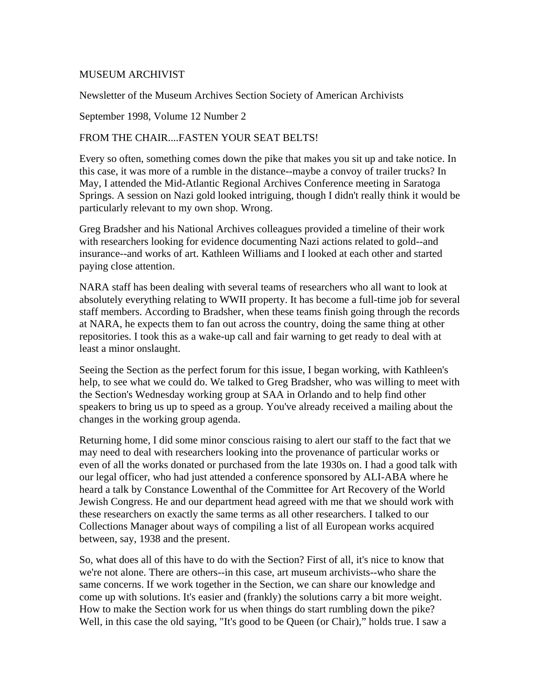## MUSEUM ARCHIVIST

Newsletter of the Museum Archives Section Society of American Archivists

September 1998, Volume 12 Number 2

## FROM THE CHAIR... FASTEN YOUR SEAT BELTS!

Every so often, something comes down the pike that makes you sit up and take notice. In this case, it was more of a rumble in the distance--maybe a convoy of trailer trucks? In May, I attended the Mid-Atlantic Regional Archives Conference meeting in Saratoga Springs. A session on Nazi gold looked intriguing, though I didn't really think it would be particularly relevant to my own shop. Wrong.

Greg Bradsher and his National Archives colleagues provided a timeline of their work with researchers looking for evidence documenting Nazi actions related to gold--and insurance--and works of art. Kathleen Williams and I looked at each other and started paying close attention.

NARA staff has been dealing with several teams of researchers who all want to look at absolutely everything relating to WWII property. It has become a full-time job for several staff members. According to Bradsher, when these teams finish going through the records at NARA, he expects them to fan out across the country, doing the same thing at other repositories. I took this as a wake-up call and fair warning to get ready to deal with at least a minor onslaught.

Seeing the Section as the perfect forum for this issue, I began working, with Kathleen's help, to see what we could do. We talked to Greg Bradsher, who was willing to meet with the Section's Wednesday working group at SAA in Orlando and to help find other speakers to bring us up to speed as a group. You've already received a mailing about the changes in the working group agenda.

Returning home, I did some minor conscious raising to alert our staff to the fact that we may need to deal with researchers looking into the provenance of particular works or even of all the works donated or purchased from the late 1930s on. I had a good talk with our legal officer, who had just attended a conference sponsored by ALI-ABA where he heard a talk by Constance Lowenthal of the Committee for Art Recovery of the World Jewish Congress. He and our department head agreed with me that we should work with these researchers on exactly the same terms as all other researchers. I talked to our Collections Manager about ways of compiling a list of all European works acquired between, say, 1938 and the present.

So, what does all of this have to do with the Section? First of all, it's nice to know that we're not alone. There are others--in this case, art museum archivists--who share the same concerns. If we work together in the Section, we can share our knowledge and come up with solutions. It's easier and (frankly) the solutions carry a bit more weight. How to make the Section work for us when things do start rumbling down the pike? Well, in this case the old saying, "It's good to be Queen (or Chair)," holds true. I saw a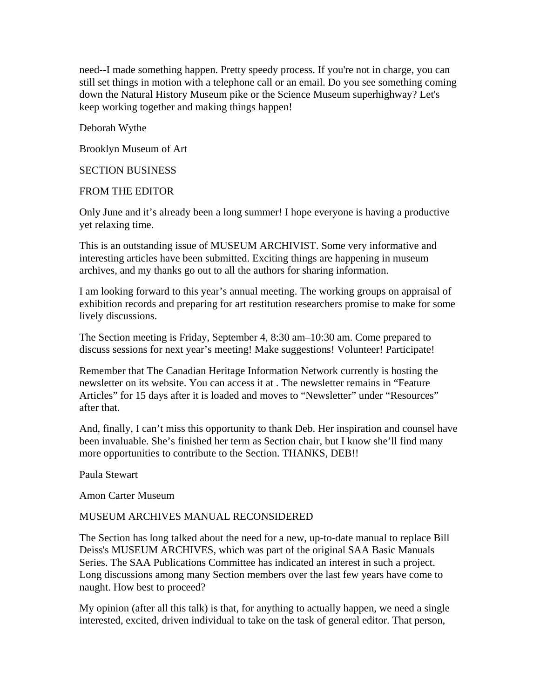need--I made something happen. Pretty speedy process. If you're not in charge, you can still set things in motion with a telephone call or an email. Do you see something coming down the Natural History Museum pike or the Science Museum superhighway? Let's keep working together and making things happen!

Deborah Wythe

Brooklyn Museum of Art

#### SECTION BUSINESS

### FROM THE EDITOR

Only June and it's already been a long summer! I hope everyone is having a productive yet relaxing time.

This is an outstanding issue of MUSEUM ARCHIVIST. Some very informative and interesting articles have been submitted. Exciting things are happening in museum archives, and my thanks go out to all the authors for sharing information.

I am looking forward to this year's annual meeting. The working groups on appraisal of exhibition records and preparing for art restitution researchers promise to make for some lively discussions.

The Section meeting is Friday, September 4, 8:30 am–10:30 am. Come prepared to discuss sessions for next year's meeting! Make suggestions! Volunteer! Participate!

Remember that The Canadian Heritage Information Network currently is hosting the newsletter on its website. You can access it at . The newsletter remains in "Feature Articles" for 15 days after it is loaded and moves to "Newsletter" under "Resources" after that.

And, finally, I can't miss this opportunity to thank Deb. Her inspiration and counsel have been invaluable. She's finished her term as Section chair, but I know she'll find many more opportunities to contribute to the Section. THANKS, DEB!!

Paula Stewart

Amon Carter Museum

## MUSEUM ARCHIVES MANUAL RECONSIDERED

The Section has long talked about the need for a new, up-to-date manual to replace Bill Deiss's MUSEUM ARCHIVES, which was part of the original SAA Basic Manuals Series. The SAA Publications Committee has indicated an interest in such a project. Long discussions among many Section members over the last few years have come to naught. How best to proceed?

My opinion (after all this talk) is that, for anything to actually happen, we need a single interested, excited, driven individual to take on the task of general editor. That person,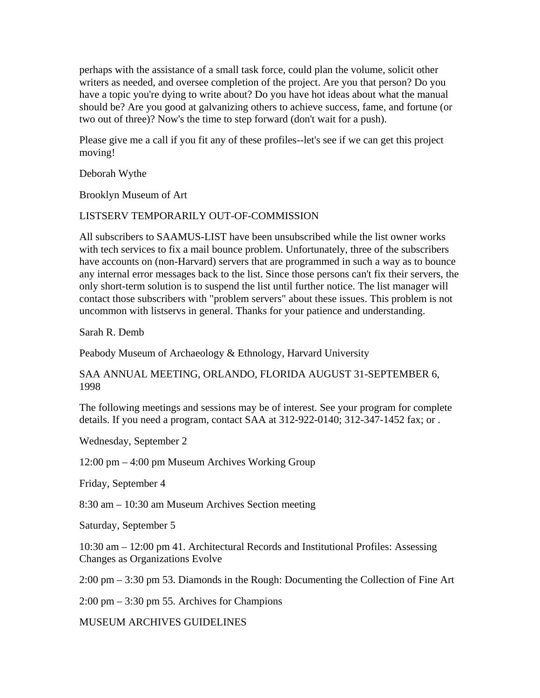perhaps with the assistance of a small task force, could plan the volume, solicit other writers as needed, and oversee completion of the project. Are you that person? Do you have a topic you're dying to write about? Do you have hot ideas about what the manual should be? Are you good at galvanizing others to achieve success, fame, and fortune (or two out of three)? Now's the time to step forward (don't wait for a push).

Please give me a call if you fit any of these profiles--let's see if we can get this project moving!

Deborah Wythe

Brooklyn Museum of Art

# LISTSERV TEMPORARILY OUT-OF-COMMISSION

All subscribers to SAAMUS-LIST have been unsubscribed while the list owner works with tech services to fix a mail bounce problem. Unfortunately, three of the subscribers have accounts on (non-Harvard) servers that are programmed in such a way as to bounce any internal error messages back to the list. Since those persons can't fix their servers, the only short-term solution is to suspend the list until further notice. The list manager will contact those subscribers with "problem servers" about these issues. This problem is not uncommon with listservs in general. Thanks for your patience and understanding.

Sarah R. Demb

Peabody Museum of Archaeology & Ethnology, Harvard University

SAA ANNUAL MEETING, ORLANDO, FLORIDA AUGUST 31-SEPTEMBER 6, 1998

The following meetings and sessions may be of interest. See your program for complete details. If you need a program, contact SAA at 312-922-0140; 312-347-1452 fax; or .

Wednesday, September 2

12:00 pm – 4:00 pm Museum Archives Working Group

Friday, September 4

8:30 am – 10:30 am Museum Archives Section meeting

Saturday, September 5

10:30 am – 12:00 pm 41. Architectural Records and Institutional Profiles: Assessing Changes as Organizations Evolve

2:00 pm – 3:30 pm 53. Diamonds in the Rough: Documenting the Collection of Fine Art

2:00 pm – 3:30 pm 55. Archives for Champions

MUSEUM ARCHIVES GUIDELINES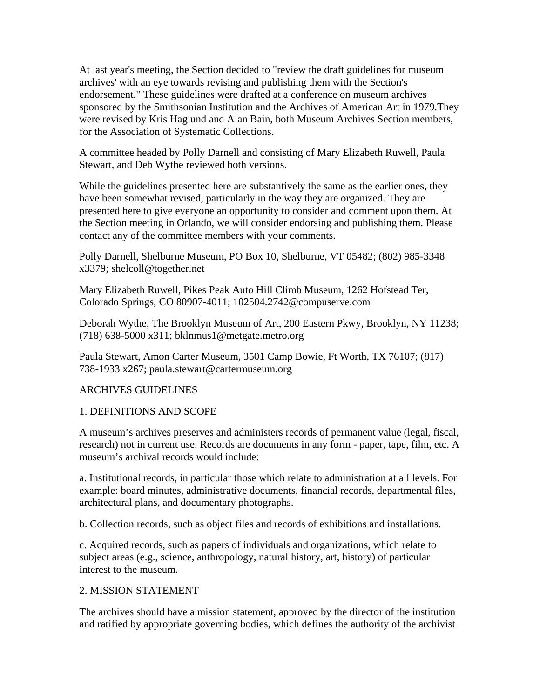At last year's meeting, the Section decided to "review the draft guidelines for museum archives' with an eye towards revising and publishing them with the Section's endorsement." These guidelines were drafted at a conference on museum archives sponsored by the Smithsonian Institution and the Archives of American Art in 1979.They were revised by Kris Haglund and Alan Bain, both Museum Archives Section members, for the Association of Systematic Collections.

A committee headed by Polly Darnell and consisting of Mary Elizabeth Ruwell, Paula Stewart, and Deb Wythe reviewed both versions.

While the guidelines presented here are substantively the same as the earlier ones, they have been somewhat revised, particularly in the way they are organized. They are presented here to give everyone an opportunity to consider and comment upon them. At the Section meeting in Orlando, we will consider endorsing and publishing them. Please contact any of the committee members with your comments.

Polly Darnell, Shelburne Museum, PO Box 10, Shelburne, VT 05482; (802) 985-3348 x3379; shelcoll@together.net

Mary Elizabeth Ruwell, Pikes Peak Auto Hill Climb Museum, 1262 Hofstead Ter, Colorado Springs, CO 80907-4011; 102504.2742@compuserve.com

Deborah Wythe, The Brooklyn Museum of Art, 200 Eastern Pkwy, Brooklyn, NY 11238; (718) 638-5000 x311; bklnmus1@metgate.metro.org

Paula Stewart, Amon Carter Museum, 3501 Camp Bowie, Ft Worth, TX 76107; (817) 738-1933 x267; paula.stewart@cartermuseum.org

# ARCHIVES GUIDELINES

## 1. DEFINITIONS AND SCOPE

A museum's archives preserves and administers records of permanent value (legal, fiscal, research) not in current use. Records are documents in any form - paper, tape, film, etc. A museum's archival records would include:

a. Institutional records, in particular those which relate to administration at all levels. For example: board minutes, administrative documents, financial records, departmental files, architectural plans, and documentary photographs.

b. Collection records, such as object files and records of exhibitions and installations.

c. Acquired records, such as papers of individuals and organizations, which relate to subject areas (e.g., science, anthropology, natural history, art, history) of particular interest to the museum.

# 2. MISSION STATEMENT

The archives should have a mission statement, approved by the director of the institution and ratified by appropriate governing bodies, which defines the authority of the archivist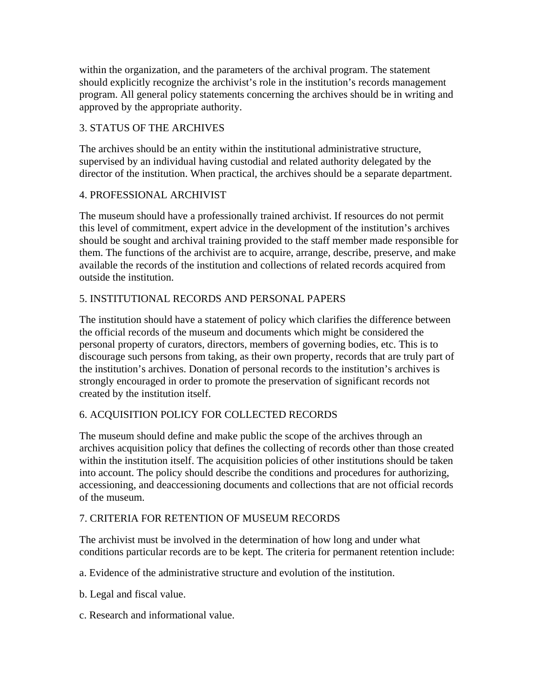within the organization, and the parameters of the archival program. The statement should explicitly recognize the archivist's role in the institution's records management program. All general policy statements concerning the archives should be in writing and approved by the appropriate authority.

# 3. STATUS OF THE ARCHIVES

The archives should be an entity within the institutional administrative structure, supervised by an individual having custodial and related authority delegated by the director of the institution. When practical, the archives should be a separate department.

## 4. PROFESSIONAL ARCHIVIST

The museum should have a professionally trained archivist. If resources do not permit this level of commitment, expert advice in the development of the institution's archives should be sought and archival training provided to the staff member made responsible for them. The functions of the archivist are to acquire, arrange, describe, preserve, and make available the records of the institution and collections of related records acquired from outside the institution.

# 5. INSTITUTIONAL RECORDS AND PERSONAL PAPERS

The institution should have a statement of policy which clarifies the difference between the official records of the museum and documents which might be considered the personal property of curators, directors, members of governing bodies, etc. This is to discourage such persons from taking, as their own property, records that are truly part of the institution's archives. Donation of personal records to the institution's archives is strongly encouraged in order to promote the preservation of significant records not created by the institution itself.

# 6. ACQUISITION POLICY FOR COLLECTED RECORDS

The museum should define and make public the scope of the archives through an archives acquisition policy that defines the collecting of records other than those created within the institution itself. The acquisition policies of other institutions should be taken into account. The policy should describe the conditions and procedures for authorizing, accessioning, and deaccessioning documents and collections that are not official records of the museum.

# 7. CRITERIA FOR RETENTION OF MUSEUM RECORDS

The archivist must be involved in the determination of how long and under what conditions particular records are to be kept. The criteria for permanent retention include:

a. Evidence of the administrative structure and evolution of the institution.

b. Legal and fiscal value.

c. Research and informational value.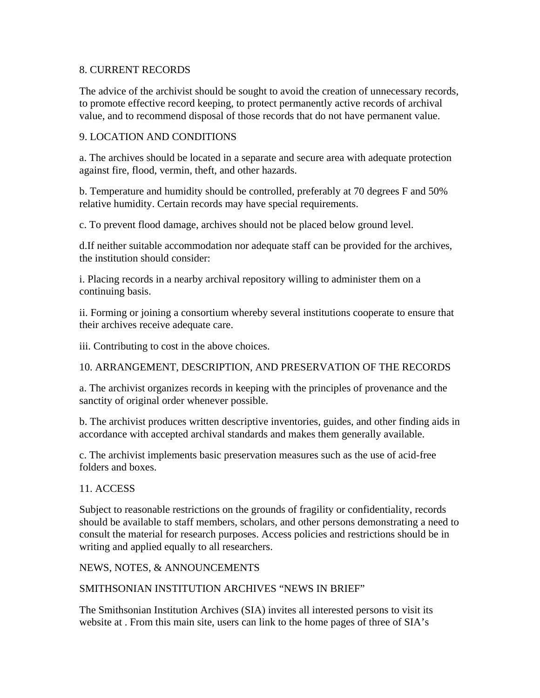## 8. CURRENT RECORDS

The advice of the archivist should be sought to avoid the creation of unnecessary records, to promote effective record keeping, to protect permanently active records of archival value, and to recommend disposal of those records that do not have permanent value.

## 9. LOCATION AND CONDITIONS

a. The archives should be located in a separate and secure area with adequate protection against fire, flood, vermin, theft, and other hazards.

b. Temperature and humidity should be controlled, preferably at 70 degrees F and 50% relative humidity. Certain records may have special requirements.

c. To prevent flood damage, archives should not be placed below ground level.

d.If neither suitable accommodation nor adequate staff can be provided for the archives, the institution should consider:

i. Placing records in a nearby archival repository willing to administer them on a continuing basis.

ii. Forming or joining a consortium whereby several institutions cooperate to ensure that their archives receive adequate care.

iii. Contributing to cost in the above choices.

10. ARRANGEMENT, DESCRIPTION, AND PRESERVATION OF THE RECORDS

a. The archivist organizes records in keeping with the principles of provenance and the sanctity of original order whenever possible.

b. The archivist produces written descriptive inventories, guides, and other finding aids in accordance with accepted archival standards and makes them generally available.

c. The archivist implements basic preservation measures such as the use of acid-free folders and boxes.

## 11. ACCESS

Subject to reasonable restrictions on the grounds of fragility or confidentiality, records should be available to staff members, scholars, and other persons demonstrating a need to consult the material for research purposes. Access policies and restrictions should be in writing and applied equally to all researchers.

NEWS, NOTES, & ANNOUNCEMENTS

# SMITHSONIAN INSTITUTION ARCHIVES "NEWS IN BRIEF"

The Smithsonian Institution Archives (SIA) invites all interested persons to visit its website at . From this main site, users can link to the home pages of three of SIA's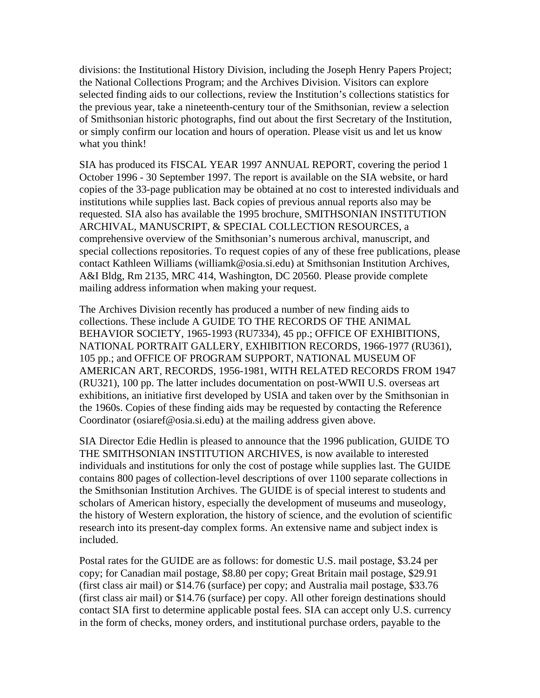divisions: the Institutional History Division, including the Joseph Henry Papers Project; the National Collections Program; and the Archives Division. Visitors can explore selected finding aids to our collections, review the Institution's collections statistics for the previous year, take a nineteenth-century tour of the Smithsonian, review a selection of Smithsonian historic photographs, find out about the first Secretary of the Institution, or simply confirm our location and hours of operation. Please visit us and let us know what you think!

SIA has produced its FISCAL YEAR 1997 ANNUAL REPORT, covering the period 1 October 1996 - 30 September 1997. The report is available on the SIA website, or hard copies of the 33-page publication may be obtained at no cost to interested individuals and institutions while supplies last. Back copies of previous annual reports also may be requested. SIA also has available the 1995 brochure, SMITHSONIAN INSTITUTION ARCHIVAL, MANUSCRIPT, & SPECIAL COLLECTION RESOURCES, a comprehensive overview of the Smithsonian's numerous archival, manuscript, and special collections repositories. To request copies of any of these free publications, please contact Kathleen Williams (williamk@osia.si.edu) at Smithsonian Institution Archives, A&I Bldg, Rm 2135, MRC 414, Washington, DC 20560. Please provide complete mailing address information when making your request.

The Archives Division recently has produced a number of new finding aids to collections. These include A GUIDE TO THE RECORDS OF THE ANIMAL BEHAVIOR SOCIETY, 1965-1993 (RU7334), 45 pp.; OFFICE OF EXHIBITIONS, NATIONAL PORTRAIT GALLERY, EXHIBITION RECORDS, 1966-1977 (RU361), 105 pp.; and OFFICE OF PROGRAM SUPPORT, NATIONAL MUSEUM OF AMERICAN ART, RECORDS, 1956-1981, WITH RELATED RECORDS FROM 1947 (RU321), 100 pp. The latter includes documentation on post-WWII U.S. overseas art exhibitions, an initiative first developed by USIA and taken over by the Smithsonian in the 1960s. Copies of these finding aids may be requested by contacting the Reference Coordinator (osiaref@osia.si.edu) at the mailing address given above.

SIA Director Edie Hedlin is pleased to announce that the 1996 publication, GUIDE TO THE SMITHSONIAN INSTITUTION ARCHIVES, is now available to interested individuals and institutions for only the cost of postage while supplies last. The GUIDE contains 800 pages of collection-level descriptions of over 1100 separate collections in the Smithsonian Institution Archives. The GUIDE is of special interest to students and scholars of American history, especially the development of museums and museology, the history of Western exploration, the history of science, and the evolution of scientific research into its present-day complex forms. An extensive name and subject index is included.

Postal rates for the GUIDE are as follows: for domestic U.S. mail postage, \$3.24 per copy; for Canadian mail postage, \$8.80 per copy; Great Britain mail postage, \$29.91 (first class air mail) or \$14.76 (surface) per copy; and Australia mail postage, \$33.76 (first class air mail) or \$14.76 (surface) per copy. All other foreign destinations should contact SIA first to determine applicable postal fees. SIA can accept only U.S. currency in the form of checks, money orders, and institutional purchase orders, payable to the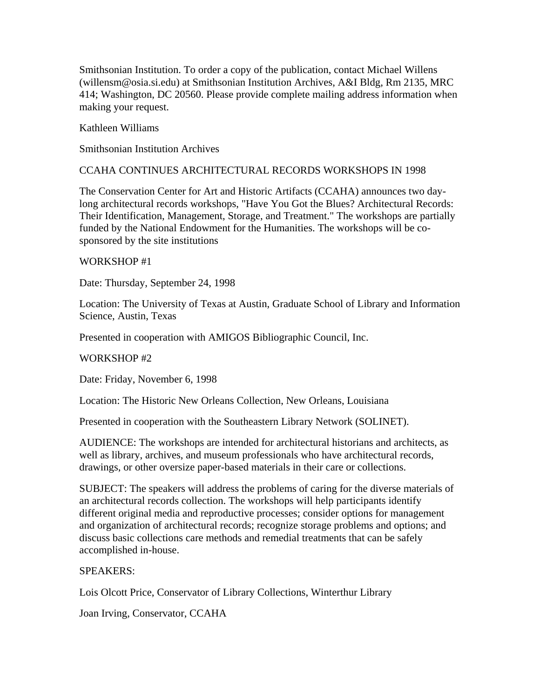Smithsonian Institution. To order a copy of the publication, contact Michael Willens (willensm@osia.si.edu) at Smithsonian Institution Archives, A&I Bldg, Rm 2135, MRC 414; Washington, DC 20560. Please provide complete mailing address information when making your request.

Kathleen Williams

Smithsonian Institution Archives

### CCAHA CONTINUES ARCHITECTURAL RECORDS WORKSHOPS IN 1998

The Conservation Center for Art and Historic Artifacts (CCAHA) announces two daylong architectural records workshops, "Have You Got the Blues? Architectural Records: Their Identification, Management, Storage, and Treatment." The workshops are partially funded by the National Endowment for the Humanities. The workshops will be cosponsored by the site institutions

### WORKSHOP #1

Date: Thursday, September 24, 1998

Location: The University of Texas at Austin, Graduate School of Library and Information Science, Austin, Texas

Presented in cooperation with AMIGOS Bibliographic Council, Inc.

#### WORKSHOP #2

Date: Friday, November 6, 1998

Location: The Historic New Orleans Collection, New Orleans, Louisiana

Presented in cooperation with the Southeastern Library Network (SOLINET).

AUDIENCE: The workshops are intended for architectural historians and architects, as well as library, archives, and museum professionals who have architectural records, drawings, or other oversize paper-based materials in their care or collections.

SUBJECT: The speakers will address the problems of caring for the diverse materials of an architectural records collection. The workshops will help participants identify different original media and reproductive processes; consider options for management and organization of architectural records; recognize storage problems and options; and discuss basic collections care methods and remedial treatments that can be safely accomplished in-house.

## SPEAKERS:

Lois Olcott Price, Conservator of Library Collections, Winterthur Library

Joan Irving, Conservator, CCAHA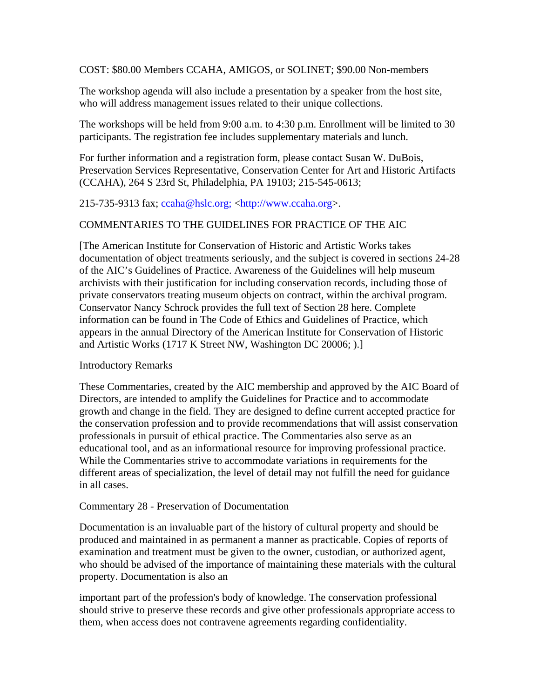COST: \$80.00 Members CCAHA, AMIGOS, or SOLINET; \$90.00 Non-members

The workshop agenda will also include a presentation by a speaker from the host site, who will address management issues related to their unique collections.

The workshops will be held from 9:00 a.m. to 4:30 p.m. Enrollment will be limited to 30 participants. The registration fee includes supplementary materials and lunch.

For further information and a registration form, please contact Susan W. DuBois, Preservation Services Representative, Conservation Center for Art and Historic Artifacts (CCAHA), 264 S 23rd St, Philadelphia, PA 19103; 215-545-0613;

## 215-735-9313 fax; ccaha@hslc.org; <http://www.ccaha.org>.

## COMMENTARIES TO THE GUIDELINES FOR PRACTICE OF THE AIC

[The American Institute for Conservation of Historic and Artistic Works takes documentation of object treatments seriously, and the subject is covered in sections 24-28 of the AIC's Guidelines of Practice. Awareness of the Guidelines will help museum archivists with their justification for including conservation records, including those of private conservators treating museum objects on contract, within the archival program. Conservator Nancy Schrock provides the full text of Section 28 here. Complete information can be found in The Code of Ethics and Guidelines of Practice, which appears in the annual Directory of the American Institute for Conservation of Historic and Artistic Works (1717 K Street NW, Washington DC 20006; ).]

## Introductory Remarks

These Commentaries, created by the AIC membership and approved by the AIC Board of Directors, are intended to amplify the Guidelines for Practice and to accommodate growth and change in the field. They are designed to define current accepted practice for the conservation profession and to provide recommendations that will assist conservation professionals in pursuit of ethical practice. The Commentaries also serve as an educational tool, and as an informational resource for improving professional practice. While the Commentaries strive to accommodate variations in requirements for the different areas of specialization, the level of detail may not fulfill the need for guidance in all cases.

## Commentary 28 - Preservation of Documentation

Documentation is an invaluable part of the history of cultural property and should be produced and maintained in as permanent a manner as practicable. Copies of reports of examination and treatment must be given to the owner, custodian, or authorized agent, who should be advised of the importance of maintaining these materials with the cultural property. Documentation is also an

important part of the profession's body of knowledge. The conservation professional should strive to preserve these records and give other professionals appropriate access to them, when access does not contravene agreements regarding confidentiality.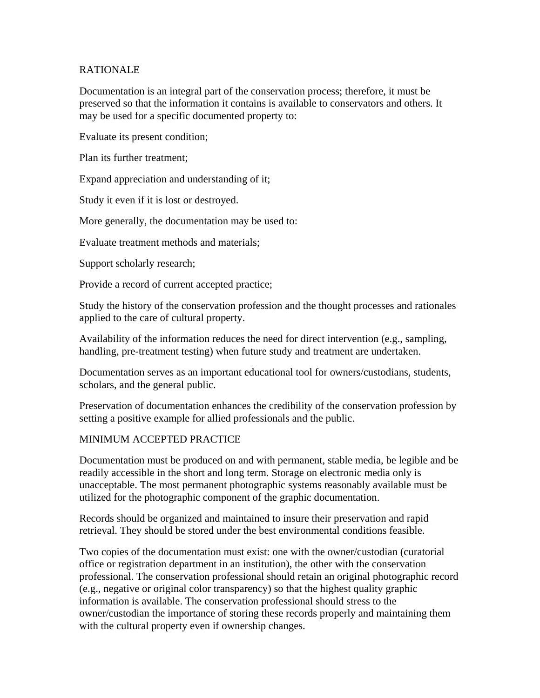## RATIONALE

Documentation is an integral part of the conservation process; therefore, it must be preserved so that the information it contains is available to conservators and others. It may be used for a specific documented property to:

Evaluate its present condition;

Plan its further treatment;

Expand appreciation and understanding of it;

Study it even if it is lost or destroyed.

More generally, the documentation may be used to:

Evaluate treatment methods and materials;

Support scholarly research;

Provide a record of current accepted practice;

Study the history of the conservation profession and the thought processes and rationales applied to the care of cultural property.

Availability of the information reduces the need for direct intervention (e.g., sampling, handling, pre-treatment testing) when future study and treatment are undertaken.

Documentation serves as an important educational tool for owners/custodians, students, scholars, and the general public.

Preservation of documentation enhances the credibility of the conservation profession by setting a positive example for allied professionals and the public.

## MINIMUM ACCEPTED PRACTICE

Documentation must be produced on and with permanent, stable media, be legible and be readily accessible in the short and long term. Storage on electronic media only is unacceptable. The most permanent photographic systems reasonably available must be utilized for the photographic component of the graphic documentation.

Records should be organized and maintained to insure their preservation and rapid retrieval. They should be stored under the best environmental conditions feasible.

Two copies of the documentation must exist: one with the owner/custodian (curatorial office or registration department in an institution), the other with the conservation professional. The conservation professional should retain an original photographic record (e.g., negative or original color transparency) so that the highest quality graphic information is available. The conservation professional should stress to the owner/custodian the importance of storing these records properly and maintaining them with the cultural property even if ownership changes.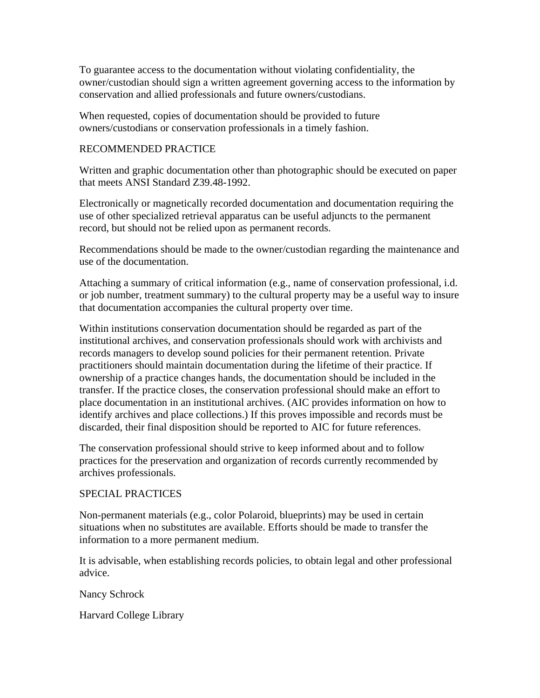To guarantee access to the documentation without violating confidentiality, the owner/custodian should sign a written agreement governing access to the information by conservation and allied professionals and future owners/custodians.

When requested, copies of documentation should be provided to future owners/custodians or conservation professionals in a timely fashion.

## RECOMMENDED PRACTICE

Written and graphic documentation other than photographic should be executed on paper that meets ANSI Standard Z39.48-1992.

Electronically or magnetically recorded documentation and documentation requiring the use of other specialized retrieval apparatus can be useful adjuncts to the permanent record, but should not be relied upon as permanent records.

Recommendations should be made to the owner/custodian regarding the maintenance and use of the documentation.

Attaching a summary of critical information (e.g., name of conservation professional, i.d. or job number, treatment summary) to the cultural property may be a useful way to insure that documentation accompanies the cultural property over time.

Within institutions conservation documentation should be regarded as part of the institutional archives, and conservation professionals should work with archivists and records managers to develop sound policies for their permanent retention. Private practitioners should maintain documentation during the lifetime of their practice. If ownership of a practice changes hands, the documentation should be included in the transfer. If the practice closes, the conservation professional should make an effort to place documentation in an institutional archives. (AIC provides information on how to identify archives and place collections.) If this proves impossible and records must be discarded, their final disposition should be reported to AIC for future references.

The conservation professional should strive to keep informed about and to follow practices for the preservation and organization of records currently recommended by archives professionals.

# SPECIAL PRACTICES

Non-permanent materials (e.g., color Polaroid, blueprints) may be used in certain situations when no substitutes are available. Efforts should be made to transfer the information to a more permanent medium.

It is advisable, when establishing records policies, to obtain legal and other professional advice.

Nancy Schrock

Harvard College Library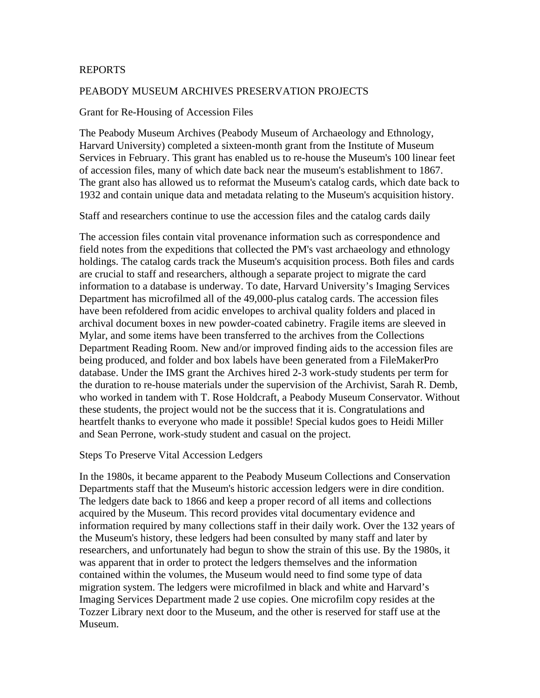### REPORTS

#### PEABODY MUSEUM ARCHIVES PRESERVATION PROJECTS

#### Grant for Re-Housing of Accession Files

The Peabody Museum Archives (Peabody Museum of Archaeology and Ethnology, Harvard University) completed a sixteen-month grant from the Institute of Museum Services in February. This grant has enabled us to re-house the Museum's 100 linear feet of accession files, many of which date back near the museum's establishment to 1867. The grant also has allowed us to reformat the Museum's catalog cards, which date back to 1932 and contain unique data and metadata relating to the Museum's acquisition history.

Staff and researchers continue to use the accession files and the catalog cards daily

The accession files contain vital provenance information such as correspondence and field notes from the expeditions that collected the PM's vast archaeology and ethnology holdings. The catalog cards track the Museum's acquisition process. Both files and cards are crucial to staff and researchers, although a separate project to migrate the card information to a database is underway. To date, Harvard University's Imaging Services Department has microfilmed all of the 49,000-plus catalog cards. The accession files have been refoldered from acidic envelopes to archival quality folders and placed in archival document boxes in new powder-coated cabinetry. Fragile items are sleeved in Mylar, and some items have been transferred to the archives from the Collections Department Reading Room. New and/or improved finding aids to the accession files are being produced, and folder and box labels have been generated from a FileMakerPro database. Under the IMS grant the Archives hired 2-3 work-study students per term for the duration to re-house materials under the supervision of the Archivist, Sarah R. Demb, who worked in tandem with T. Rose Holdcraft, a Peabody Museum Conservator. Without these students, the project would not be the success that it is. Congratulations and heartfelt thanks to everyone who made it possible! Special kudos goes to Heidi Miller and Sean Perrone, work-study student and casual on the project.

#### Steps To Preserve Vital Accession Ledgers

In the 1980s, it became apparent to the Peabody Museum Collections and Conservation Departments staff that the Museum's historic accession ledgers were in dire condition. The ledgers date back to 1866 and keep a proper record of all items and collections acquired by the Museum. This record provides vital documentary evidence and information required by many collections staff in their daily work. Over the 132 years of the Museum's history, these ledgers had been consulted by many staff and later by researchers, and unfortunately had begun to show the strain of this use. By the 1980s, it was apparent that in order to protect the ledgers themselves and the information contained within the volumes, the Museum would need to find some type of data migration system. The ledgers were microfilmed in black and white and Harvard's Imaging Services Department made 2 use copies. One microfilm copy resides at the Tozzer Library next door to the Museum, and the other is reserved for staff use at the Museum.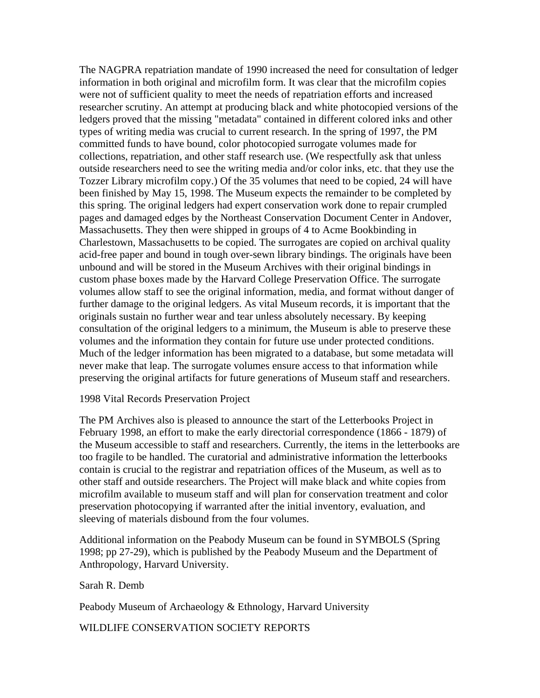The NAGPRA repatriation mandate of 1990 increased the need for consultation of ledger information in both original and microfilm form. It was clear that the microfilm copies were not of sufficient quality to meet the needs of repatriation efforts and increased researcher scrutiny. An attempt at producing black and white photocopied versions of the ledgers proved that the missing "metadata" contained in different colored inks and other types of writing media was crucial to current research. In the spring of 1997, the PM committed funds to have bound, color photocopied surrogate volumes made for collections, repatriation, and other staff research use. (We respectfully ask that unless outside researchers need to see the writing media and/or color inks, etc. that they use the Tozzer Library microfilm copy.) Of the 35 volumes that need to be copied, 24 will have been finished by May 15, 1998. The Museum expects the remainder to be completed by this spring. The original ledgers had expert conservation work done to repair crumpled pages and damaged edges by the Northeast Conservation Document Center in Andover, Massachusetts. They then were shipped in groups of 4 to Acme Bookbinding in Charlestown, Massachusetts to be copied. The surrogates are copied on archival quality acid-free paper and bound in tough over-sewn library bindings. The originals have been unbound and will be stored in the Museum Archives with their original bindings in custom phase boxes made by the Harvard College Preservation Office. The surrogate volumes allow staff to see the original information, media, and format without danger of further damage to the original ledgers. As vital Museum records, it is important that the originals sustain no further wear and tear unless absolutely necessary. By keeping consultation of the original ledgers to a minimum, the Museum is able to preserve these volumes and the information they contain for future use under protected conditions. Much of the ledger information has been migrated to a database, but some metadata will never make that leap. The surrogate volumes ensure access to that information while preserving the original artifacts for future generations of Museum staff and researchers.

### 1998 Vital Records Preservation Project

The PM Archives also is pleased to announce the start of the Letterbooks Project in February 1998, an effort to make the early directorial correspondence (1866 - 1879) of the Museum accessible to staff and researchers. Currently, the items in the letterbooks are too fragile to be handled. The curatorial and administrative information the letterbooks contain is crucial to the registrar and repatriation offices of the Museum, as well as to other staff and outside researchers. The Project will make black and white copies from microfilm available to museum staff and will plan for conservation treatment and color preservation photocopying if warranted after the initial inventory, evaluation, and sleeving of materials disbound from the four volumes.

Additional information on the Peabody Museum can be found in SYMBOLS (Spring 1998; pp 27-29), which is published by the Peabody Museum and the Department of Anthropology, Harvard University.

Sarah R. Demb

Peabody Museum of Archaeology & Ethnology, Harvard University

WILDLIFE CONSERVATION SOCIETY REPORTS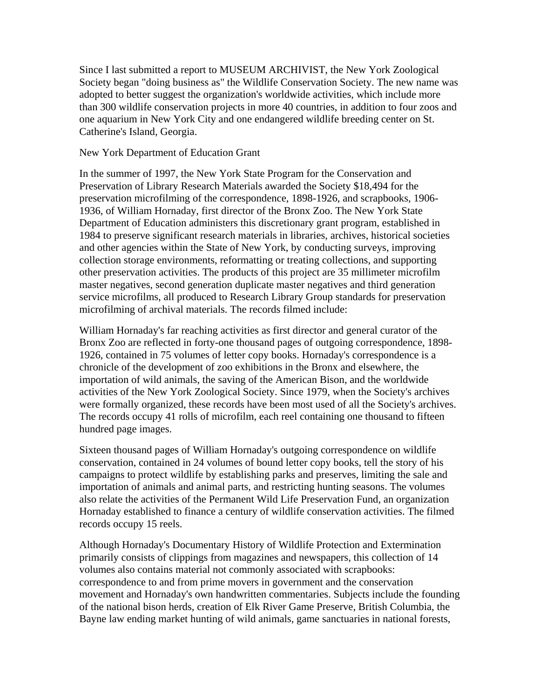Since I last submitted a report to MUSEUM ARCHIVIST, the New York Zoological Society began "doing business as" the Wildlife Conservation Society. The new name was adopted to better suggest the organization's worldwide activities, which include more than 300 wildlife conservation projects in more 40 countries, in addition to four zoos and one aquarium in New York City and one endangered wildlife breeding center on St. Catherine's Island, Georgia.

New York Department of Education Grant

In the summer of 1997, the New York State Program for the Conservation and Preservation of Library Research Materials awarded the Society \$18,494 for the preservation microfilming of the correspondence, 1898-1926, and scrapbooks, 1906- 1936, of William Hornaday, first director of the Bronx Zoo. The New York State Department of Education administers this discretionary grant program, established in 1984 to preserve significant research materials in libraries, archives, historical societies and other agencies within the State of New York, by conducting surveys, improving collection storage environments, reformatting or treating collections, and supporting other preservation activities. The products of this project are 35 millimeter microfilm master negatives, second generation duplicate master negatives and third generation service microfilms, all produced to Research Library Group standards for preservation microfilming of archival materials. The records filmed include:

William Hornaday's far reaching activities as first director and general curator of the Bronx Zoo are reflected in forty-one thousand pages of outgoing correspondence, 1898- 1926, contained in 75 volumes of letter copy books. Hornaday's correspondence is a chronicle of the development of zoo exhibitions in the Bronx and elsewhere, the importation of wild animals, the saving of the American Bison, and the worldwide activities of the New York Zoological Society. Since 1979, when the Society's archives were formally organized, these records have been most used of all the Society's archives. The records occupy 41 rolls of microfilm, each reel containing one thousand to fifteen hundred page images.

Sixteen thousand pages of William Hornaday's outgoing correspondence on wildlife conservation, contained in 24 volumes of bound letter copy books, tell the story of his campaigns to protect wildlife by establishing parks and preserves, limiting the sale and importation of animals and animal parts, and restricting hunting seasons. The volumes also relate the activities of the Permanent Wild Life Preservation Fund, an organization Hornaday established to finance a century of wildlife conservation activities. The filmed records occupy 15 reels.

Although Hornaday's Documentary History of Wildlife Protection and Extermination primarily consists of clippings from magazines and newspapers, this collection of 14 volumes also contains material not commonly associated with scrapbooks: correspondence to and from prime movers in government and the conservation movement and Hornaday's own handwritten commentaries. Subjects include the founding of the national bison herds, creation of Elk River Game Preserve, British Columbia, the Bayne law ending market hunting of wild animals, game sanctuaries in national forests,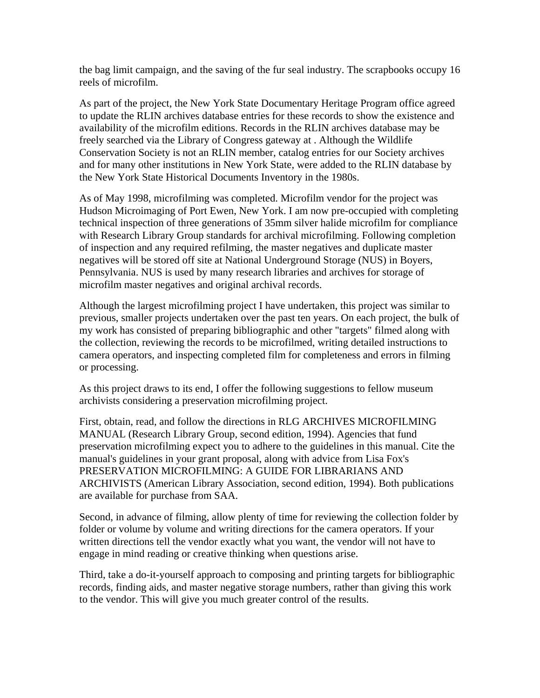the bag limit campaign, and the saving of the fur seal industry. The scrapbooks occupy 16 reels of microfilm.

As part of the project, the New York State Documentary Heritage Program office agreed to update the RLIN archives database entries for these records to show the existence and availability of the microfilm editions. Records in the RLIN archives database may be freely searched via the Library of Congress gateway at . Although the Wildlife Conservation Society is not an RLIN member, catalog entries for our Society archives and for many other institutions in New York State, were added to the RLIN database by the New York State Historical Documents Inventory in the 1980s.

As of May 1998, microfilming was completed. Microfilm vendor for the project was Hudson Microimaging of Port Ewen, New York. I am now pre-occupied with completing technical inspection of three generations of 35mm silver halide microfilm for compliance with Research Library Group standards for archival microfilming. Following completion of inspection and any required refilming, the master negatives and duplicate master negatives will be stored off site at National Underground Storage (NUS) in Boyers, Pennsylvania. NUS is used by many research libraries and archives for storage of microfilm master negatives and original archival records.

Although the largest microfilming project I have undertaken, this project was similar to previous, smaller projects undertaken over the past ten years. On each project, the bulk of my work has consisted of preparing bibliographic and other "targets" filmed along with the collection, reviewing the records to be microfilmed, writing detailed instructions to camera operators, and inspecting completed film for completeness and errors in filming or processing.

As this project draws to its end, I offer the following suggestions to fellow museum archivists considering a preservation microfilming project.

First, obtain, read, and follow the directions in RLG ARCHIVES MICROFILMING MANUAL (Research Library Group, second edition, 1994). Agencies that fund preservation microfilming expect you to adhere to the guidelines in this manual. Cite the manual's guidelines in your grant proposal, along with advice from Lisa Fox's PRESERVATION MICROFILMING: A GUIDE FOR LIBRARIANS AND ARCHIVISTS (American Library Association, second edition, 1994). Both publications are available for purchase from SAA.

Second, in advance of filming, allow plenty of time for reviewing the collection folder by folder or volume by volume and writing directions for the camera operators. If your written directions tell the vendor exactly what you want, the vendor will not have to engage in mind reading or creative thinking when questions arise.

Third, take a do-it-yourself approach to composing and printing targets for bibliographic records, finding aids, and master negative storage numbers, rather than giving this work to the vendor. This will give you much greater control of the results.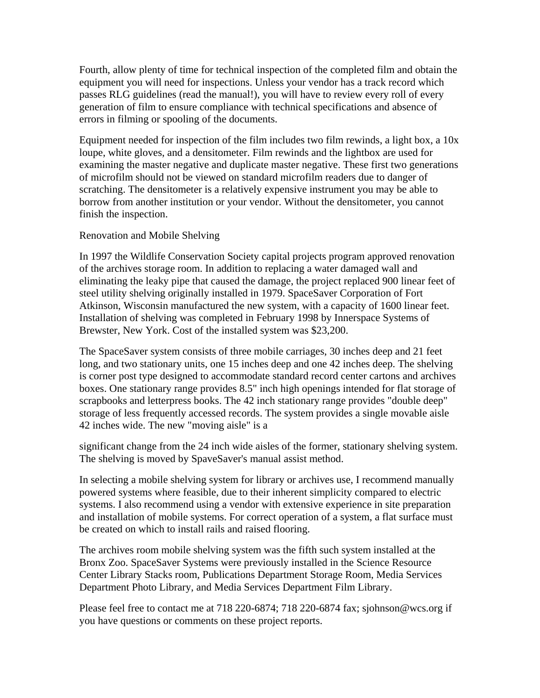Fourth, allow plenty of time for technical inspection of the completed film and obtain the equipment you will need for inspections. Unless your vendor has a track record which passes RLG guidelines (read the manual!), you will have to review every roll of every generation of film to ensure compliance with technical specifications and absence of errors in filming or spooling of the documents.

Equipment needed for inspection of the film includes two film rewinds, a light box, a 10x loupe, white gloves, and a densitometer. Film rewinds and the lightbox are used for examining the master negative and duplicate master negative. These first two generations of microfilm should not be viewed on standard microfilm readers due to danger of scratching. The densitometer is a relatively expensive instrument you may be able to borrow from another institution or your vendor. Without the densitometer, you cannot finish the inspection.

### Renovation and Mobile Shelving

In 1997 the Wildlife Conservation Society capital projects program approved renovation of the archives storage room. In addition to replacing a water damaged wall and eliminating the leaky pipe that caused the damage, the project replaced 900 linear feet of steel utility shelving originally installed in 1979. SpaceSaver Corporation of Fort Atkinson, Wisconsin manufactured the new system, with a capacity of 1600 linear feet. Installation of shelving was completed in February 1998 by Innerspace Systems of Brewster, New York. Cost of the installed system was \$23,200.

The SpaceSaver system consists of three mobile carriages, 30 inches deep and 21 feet long, and two stationary units, one 15 inches deep and one 42 inches deep. The shelving is corner post type designed to accommodate standard record center cartons and archives boxes. One stationary range provides 8.5" inch high openings intended for flat storage of scrapbooks and letterpress books. The 42 inch stationary range provides "double deep" storage of less frequently accessed records. The system provides a single movable aisle 42 inches wide. The new "moving aisle" is a

significant change from the 24 inch wide aisles of the former, stationary shelving system. The shelving is moved by SpaveSaver's manual assist method.

In selecting a mobile shelving system for library or archives use, I recommend manually powered systems where feasible, due to their inherent simplicity compared to electric systems. I also recommend using a vendor with extensive experience in site preparation and installation of mobile systems. For correct operation of a system, a flat surface must be created on which to install rails and raised flooring.

The archives room mobile shelving system was the fifth such system installed at the Bronx Zoo. SpaceSaver Systems were previously installed in the Science Resource Center Library Stacks room, Publications Department Storage Room, Media Services Department Photo Library, and Media Services Department Film Library.

Please feel free to contact me at 718 220-6874; 718 220-6874 fax; sjohnson@wcs.org if you have questions or comments on these project reports.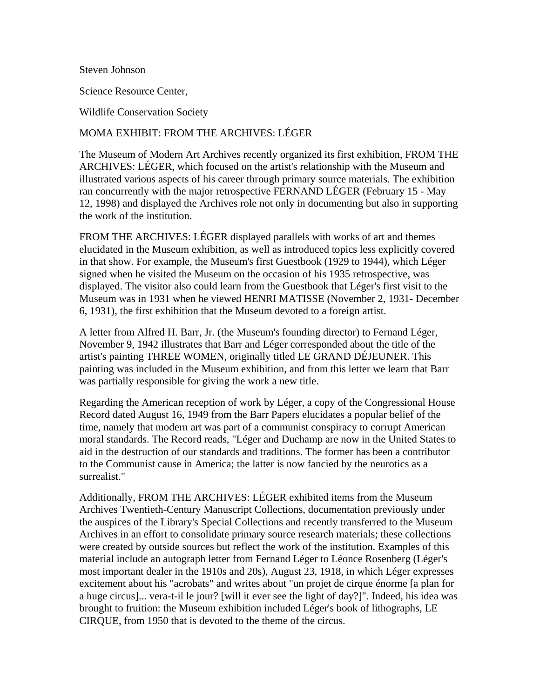Steven Johnson

Science Resource Center,

Wildlife Conservation Society

### MOMA EXHIBIT: FROM THE ARCHIVES: LÉGER

The Museum of Modern Art Archives recently organized its first exhibition, FROM THE ARCHIVES: LÉGER, which focused on the artist's relationship with the Museum and illustrated various aspects of his career through primary source materials. The exhibition ran concurrently with the major retrospective FERNAND LÉGER (February 15 - May 12, 1998) and displayed the Archives role not only in documenting but also in supporting the work of the institution.

FROM THE ARCHIVES: LÉGER displayed parallels with works of art and themes elucidated in the Museum exhibition, as well as introduced topics less explicitly covered in that show. For example, the Museum's first Guestbook (1929 to 1944), which Léger signed when he visited the Museum on the occasion of his 1935 retrospective, was displayed. The visitor also could learn from the Guestbook that Léger's first visit to the Museum was in 1931 when he viewed HENRI MATISSE (November 2, 1931- December 6, 1931), the first exhibition that the Museum devoted to a foreign artist.

A letter from Alfred H. Barr, Jr. (the Museum's founding director) to Fernand Léger, November 9, 1942 illustrates that Barr and Léger corresponded about the title of the artist's painting THREE WOMEN, originally titled LE GRAND DÉJEUNER. This painting was included in the Museum exhibition, and from this letter we learn that Barr was partially responsible for giving the work a new title.

Regarding the American reception of work by Léger, a copy of the Congressional House Record dated August 16, 1949 from the Barr Papers elucidates a popular belief of the time, namely that modern art was part of a communist conspiracy to corrupt American moral standards. The Record reads, "Léger and Duchamp are now in the United States to aid in the destruction of our standards and traditions. The former has been a contributor to the Communist cause in America; the latter is now fancied by the neurotics as a surrealist."

Additionally, FROM THE ARCHIVES: LÉGER exhibited items from the Museum Archives Twentieth-Century Manuscript Collections, documentation previously under the auspices of the Library's Special Collections and recently transferred to the Museum Archives in an effort to consolidate primary source research materials; these collections were created by outside sources but reflect the work of the institution. Examples of this material include an autograph letter from Fernand Léger to Léonce Rosenberg (Léger's most important dealer in the 1910s and 20s), August 23, 1918, in which Léger expresses excitement about his "acrobats" and writes about "un projet de cirque énorme [a plan for a huge circus]... vera-t-il le jour? [will it ever see the light of day?]". Indeed, his idea was brought to fruition: the Museum exhibition included Léger's book of lithographs, LE CIRQUE, from 1950 that is devoted to the theme of the circus.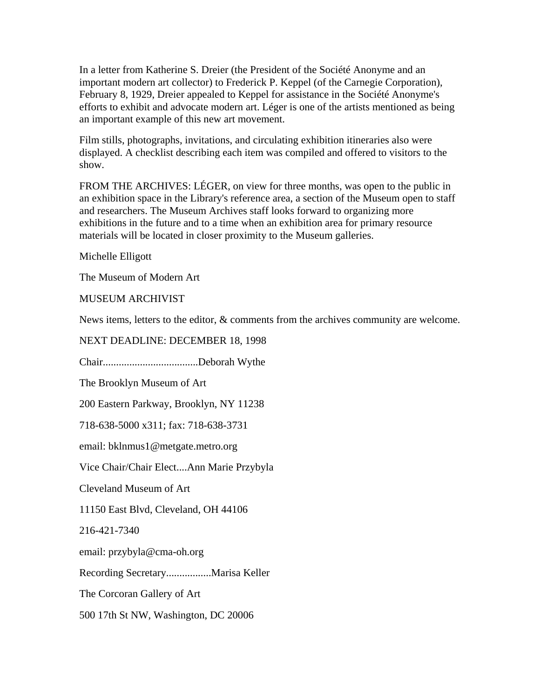In a letter from Katherine S. Dreier (the President of the Société Anonyme and an important modern art collector) to Frederick P. Keppel (of the Carnegie Corporation), February 8, 1929, Dreier appealed to Keppel for assistance in the Société Anonyme's efforts to exhibit and advocate modern art. Léger is one of the artists mentioned as being an important example of this new art movement.

Film stills, photographs, invitations, and circulating exhibition itineraries also were displayed. A checklist describing each item was compiled and offered to visitors to the show.

FROM THE ARCHIVES: LÉGER, on view for three months, was open to the public in an exhibition space in the Library's reference area, a section of the Museum open to staff and researchers. The Museum Archives staff looks forward to organizing more exhibitions in the future and to a time when an exhibition area for primary resource materials will be located in closer proximity to the Museum galleries.

Michelle Elligott

The Museum of Modern Art

MUSEUM ARCHIVIST

News items, letters to the editor, & comments from the archives community are welcome.

NEXT DEADLINE: DECEMBER 18, 1998 Chair....................................Deborah Wythe The Brooklyn Museum of Art 200 Eastern Parkway, Brooklyn, NY 11238 718-638-5000 x311; fax: 718-638-3731 email: bklnmus1@metgate.metro.org Vice Chair/Chair Elect....Ann Marie Przybyla Cleveland Museum of Art 11150 East Blvd, Cleveland, OH 44106 216-421-7340 email: przybyla@cma-oh.org Recording Secretary.................Marisa Keller The Corcoran Gallery of Art 500 17th St NW, Washington, DC 20006